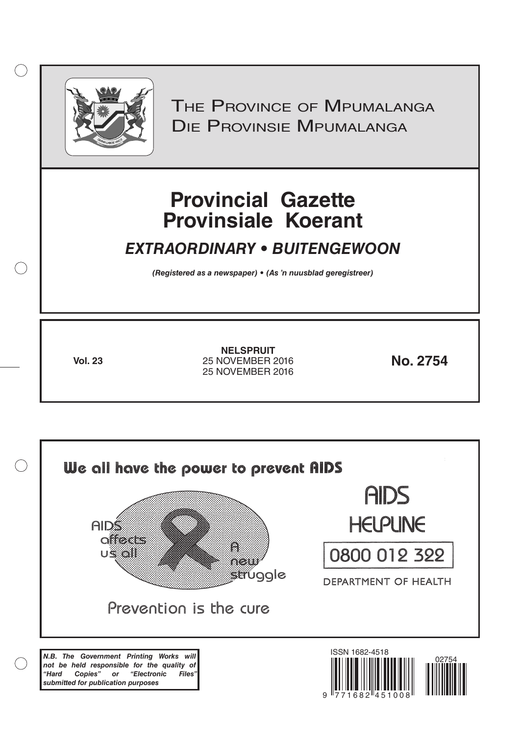

 $( )$ 

THE PROVINCE OF MPUMALANGA Die Provinsie Mpumalanga

# **Provincial Gazette Provinsiale Koerant**

## *EXTRAORDINARY • BUITENGEWOON*

*(Registered as a newspaper) • (As 'n nuusblad geregistreer)*

**Vol. 23 No. 2754** 25 NOVEMBER 2016 **NELSPRUIT** 25 NOVEMBER 2016

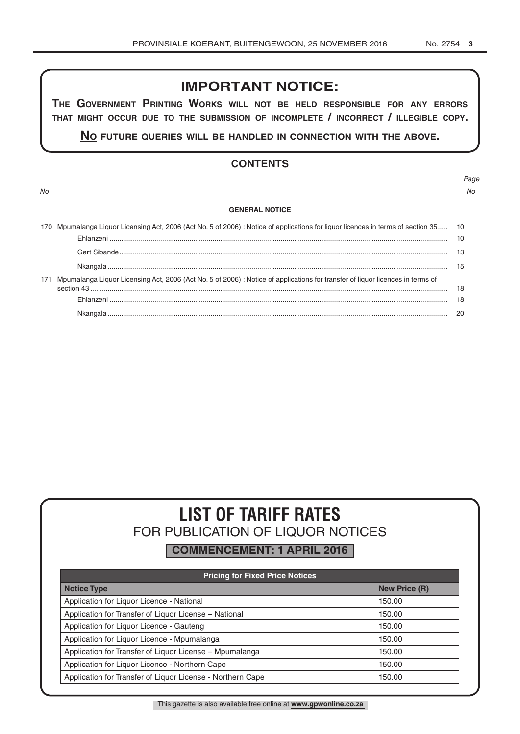## **IMPORTANT NOTICE:**

**The GovernmenT PrinTinG Works Will noT be held resPonsible for any errors ThaT miGhT occur due To The submission of incomPleTe / incorrecT / illeGible coPy.**

**no fuTure queries Will be handled in connecTion WiTh The above.**

### **CONTENTS**

### **GENERAL NOTICE**

|     | 170 Mpumalanga Liquor Licensing Act, 2006 (Act No. 5 of 2006) : Notice of applications for liquor licences in terms of section 35 10 |     |
|-----|--------------------------------------------------------------------------------------------------------------------------------------|-----|
| 171 |                                                                                                                                      | 10  |
|     |                                                                                                                                      |     |
|     |                                                                                                                                      | -15 |
|     | Mpumalanga Liquor Licensing Act, 2006 (Act No. 5 of 2006) : Notice of applications for transfer of liquor licences in terms of       | 18  |
|     |                                                                                                                                      | 18  |
|     |                                                                                                                                      | -20 |

# **LIST OF TARIFF RATES** FOR PUBLICATION OF LIQUOR NOTICES

**COMMENCEMENT: 1 APRIL 2016**

| <b>Pricing for Fixed Price Notices</b>                     |                      |  |  |  |  |
|------------------------------------------------------------|----------------------|--|--|--|--|
| <b>Notice Type</b>                                         | <b>New Price (R)</b> |  |  |  |  |
| Application for Liquor Licence - National                  | 150.00               |  |  |  |  |
| Application for Transfer of Liquor License - National      | 150.00               |  |  |  |  |
| Application for Liquor Licence - Gauteng                   | 150.00               |  |  |  |  |
| Application for Liquor Licence - Mpumalanga                | 150.00               |  |  |  |  |
| Application for Transfer of Liquor License - Mpumalanga    | 150.00               |  |  |  |  |
| Application for Liquor Licence - Northern Cape             | 150.00               |  |  |  |  |
| Application for Transfer of Liquor License - Northern Cape | 150.00               |  |  |  |  |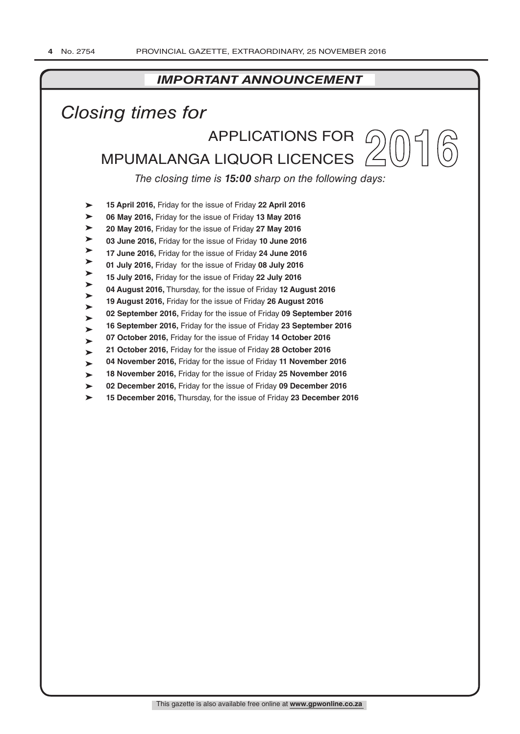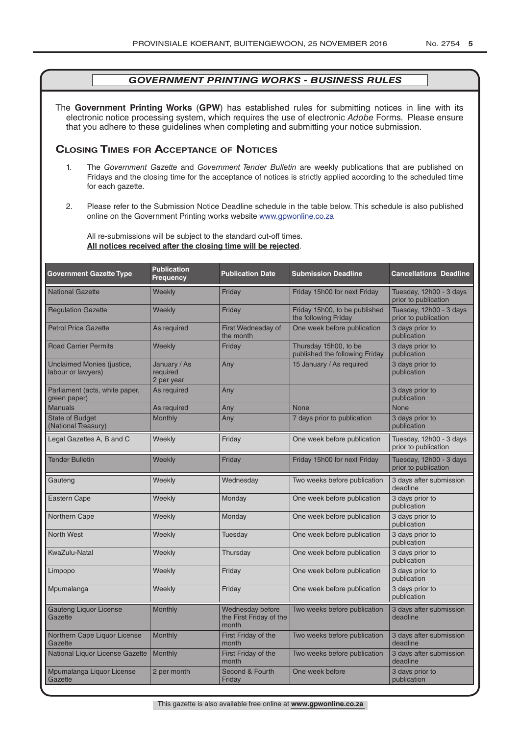The **Government Printing Works** (**GPW**) has established rules for submitting notices in line with its electronic notice processing system, which requires the use of electronic *Adobe* Forms. Please ensure that you adhere to these guidelines when completing and submitting your notice submission.

### **Closing Times for ACCepTAnCe of noTiCes**

- 1. The *Government Gazette* and *Government Tender Bulletin* are weekly publications that are published on Fridays and the closing time for the acceptance of notices is strictly applied according to the scheduled time for each gazette.
- 2. Please refer to the Submission Notice Deadline schedule in the table below. This schedule is also published online on the Government Printing works website www.gpwonline.co.za

All re-submissions will be subject to the standard cut-off times. **All notices received after the closing time will be rejected**.

| <b>Government Gazette Type</b>                   | <b>Publication</b><br><b>Frequency</b> | <b>Publication Date</b>                              | <b>Submission Deadline</b>                              | <b>Cancellations Deadline</b>                   |
|--------------------------------------------------|----------------------------------------|------------------------------------------------------|---------------------------------------------------------|-------------------------------------------------|
| <b>National Gazette</b>                          | Weekly                                 | Friday                                               | Friday 15h00 for next Friday                            | Tuesday, 12h00 - 3 days<br>prior to publication |
| <b>Regulation Gazette</b>                        | Weekly                                 | Friday                                               | Friday 15h00, to be published<br>the following Friday   | Tuesday, 12h00 - 3 days<br>prior to publication |
| <b>Petrol Price Gazette</b>                      | As required                            | First Wednesday of<br>the month                      | One week before publication                             | 3 days prior to<br>publication                  |
| <b>Road Carrier Permits</b>                      | Weekly                                 | Friday                                               | Thursday 15h00, to be<br>published the following Friday | 3 days prior to<br>publication                  |
| Unclaimed Monies (justice,<br>labour or lawyers) | January / As<br>required<br>2 per year | Any                                                  | 15 January / As required                                | 3 days prior to<br>publication                  |
| Parliament (acts, white paper,<br>green paper)   | As required                            | Any                                                  |                                                         | 3 days prior to<br>publication                  |
| <b>Manuals</b>                                   | As required                            | Any                                                  | None                                                    | <b>None</b>                                     |
| <b>State of Budget</b><br>(National Treasury)    | Monthly                                | Any                                                  | 7 days prior to publication                             | 3 days prior to<br>publication                  |
| Legal Gazettes A, B and C                        | Weekly                                 | Friday                                               | One week before publication                             | Tuesday, 12h00 - 3 days<br>prior to publication |
| <b>Tender Bulletin</b>                           | Weekly                                 | Friday                                               | Friday 15h00 for next Friday                            | Tuesday, 12h00 - 3 days<br>prior to publication |
| Gauteng                                          | Weekly                                 | Wednesday                                            | Two weeks before publication                            | 3 days after submission<br>deadline             |
| <b>Eastern Cape</b>                              | Weekly                                 | Monday                                               | One week before publication                             | 3 days prior to<br>publication                  |
| Northern Cape                                    | Weekly                                 | Monday                                               | One week before publication                             | 3 days prior to<br>publication                  |
| <b>North West</b>                                | Weekly                                 | Tuesday                                              | One week before publication                             | 3 days prior to<br>publication                  |
| KwaZulu-Natal                                    | Weekly                                 | Thursday                                             | One week before publication                             | 3 days prior to<br>publication                  |
| Limpopo                                          | Weekly                                 | Friday                                               | One week before publication                             | 3 days prior to<br>publication                  |
| Mpumalanga                                       | Weekly                                 | Friday                                               | One week before publication                             | 3 days prior to<br>publication                  |
| <b>Gauteng Liquor License</b><br>Gazette         | Monthly                                | Wednesday before<br>the First Friday of the<br>month | Two weeks before publication                            | 3 days after submission<br>deadline             |
| Northern Cape Liquor License<br>Gazette          | Monthly                                | First Friday of the<br>month                         | Two weeks before publication                            | 3 days after submission<br>deadline             |
| National Liquor License Gazette                  | Monthly                                | First Friday of the<br>month                         | Two weeks before publication                            | 3 days after submission<br>deadline             |
| Mpumalanga Liquor License<br>Gazette             | 2 per month                            | Second & Fourth<br>Friday                            | One week before                                         | 3 days prior to<br>publication                  |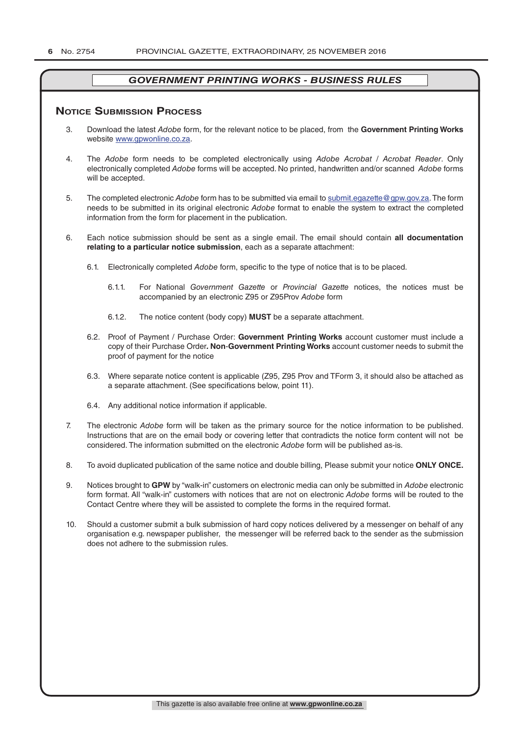### **NOTICE SUBMISSION PROCESS**

- 3. Download the latest *Adobe* form, for the relevant notice to be placed, from the **Government Printing Works** website www.gpwonline.co.za.
- 4. The *Adobe* form needs to be completed electronically using *Adobe Acrobat* / *Acrobat Reader*. Only electronically completed *Adobe* forms will be accepted. No printed, handwritten and/or scanned *Adobe* forms will be accepted.
- 5. The completed electronic *Adobe* form has to be submitted via email to submit.egazette@gpw.gov.za. The form needs to be submitted in its original electronic *Adobe* format to enable the system to extract the completed information from the form for placement in the publication.
- 6. Each notice submission should be sent as a single email. The email should contain **all documentation relating to a particular notice submission**, each as a separate attachment:
	- 6.1. Electronically completed *Adobe* form, specific to the type of notice that is to be placed.
		- 6.1.1. For National *Government Gazette* or *Provincial Gazette* notices, the notices must be accompanied by an electronic Z95 or Z95Prov *Adobe* form
		- 6.1.2. The notice content (body copy) **MUST** be a separate attachment.
	- 6.2. Proof of Payment / Purchase Order: **Government Printing Works** account customer must include a copy of their Purchase Order*.* **Non**-**Government Printing Works** account customer needs to submit the proof of payment for the notice
	- 6.3. Where separate notice content is applicable (Z95, Z95 Prov and TForm 3, it should also be attached as a separate attachment. (See specifications below, point 11).
	- 6.4. Any additional notice information if applicable.
- 7. The electronic *Adobe* form will be taken as the primary source for the notice information to be published. Instructions that are on the email body or covering letter that contradicts the notice form content will not be considered. The information submitted on the electronic *Adobe* form will be published as-is.
- 8. To avoid duplicated publication of the same notice and double billing, Please submit your notice **ONLY ONCE.**
- 9. Notices brought to **GPW** by "walk-in" customers on electronic media can only be submitted in *Adobe* electronic form format. All "walk-in" customers with notices that are not on electronic *Adobe* forms will be routed to the Contact Centre where they will be assisted to complete the forms in the required format.
- 10. Should a customer submit a bulk submission of hard copy notices delivered by a messenger on behalf of any organisation e.g. newspaper publisher, the messenger will be referred back to the sender as the submission does not adhere to the submission rules.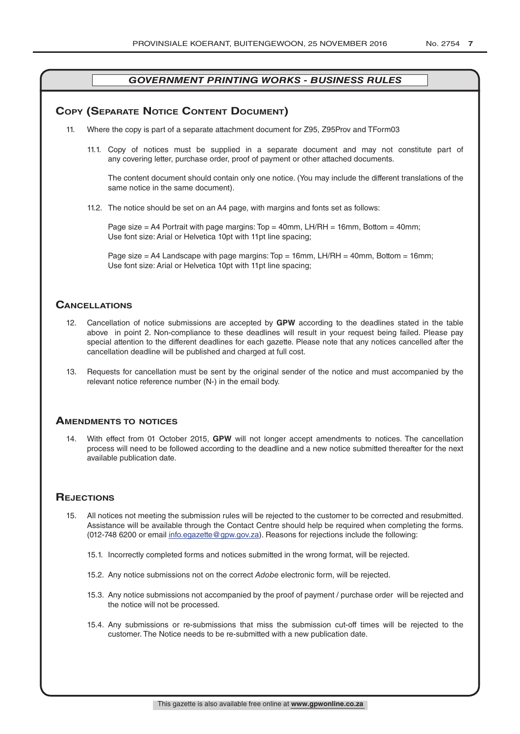### **COPY (SEPARATE NOTICE CONTENT DOCUMENT)**

- 11. Where the copy is part of a separate attachment document for Z95, Z95Prov and TForm03
	- 11.1. Copy of notices must be supplied in a separate document and may not constitute part of any covering letter, purchase order, proof of payment or other attached documents.

The content document should contain only one notice. (You may include the different translations of the same notice in the same document).

11.2. The notice should be set on an A4 page, with margins and fonts set as follows:

Page size  $=$  A4 Portrait with page margins: Top  $=$  40mm, LH/RH  $=$  16mm, Bottom  $=$  40mm; Use font size: Arial or Helvetica 10pt with 11pt line spacing;

Page size = A4 Landscape with page margins: Top = 16mm, LH/RH = 40mm, Bottom = 16mm; Use font size: Arial or Helvetica 10pt with 11pt line spacing;

### **CAnCellATions**

- 12. Cancellation of notice submissions are accepted by **GPW** according to the deadlines stated in the table above in point 2. Non-compliance to these deadlines will result in your request being failed. Please pay special attention to the different deadlines for each gazette. Please note that any notices cancelled after the cancellation deadline will be published and charged at full cost.
- 13. Requests for cancellation must be sent by the original sender of the notice and must accompanied by the relevant notice reference number (N-) in the email body.

### **AmenDmenTs To noTiCes**

14. With effect from 01 October 2015, **GPW** will not longer accept amendments to notices. The cancellation process will need to be followed according to the deadline and a new notice submitted thereafter for the next available publication date.

### **REJECTIONS**

- 15. All notices not meeting the submission rules will be rejected to the customer to be corrected and resubmitted. Assistance will be available through the Contact Centre should help be required when completing the forms. (012-748 6200 or email info.egazette@gpw.gov.za). Reasons for rejections include the following:
	- 15.1. Incorrectly completed forms and notices submitted in the wrong format, will be rejected.
	- 15.2. Any notice submissions not on the correct *Adobe* electronic form, will be rejected.
	- 15.3. Any notice submissions not accompanied by the proof of payment / purchase order will be rejected and the notice will not be processed.
	- 15.4. Any submissions or re-submissions that miss the submission cut-off times will be rejected to the customer. The Notice needs to be re-submitted with a new publication date.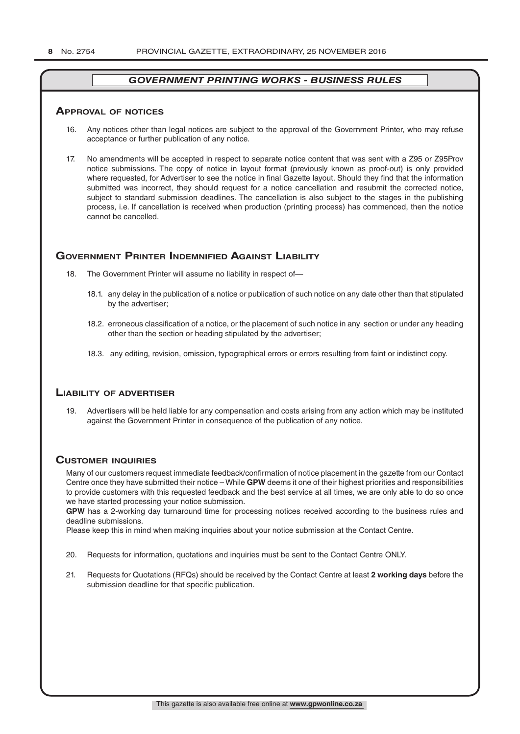### **ApprovAl of noTiCes**

- 16. Any notices other than legal notices are subject to the approval of the Government Printer, who may refuse acceptance or further publication of any notice.
- 17. No amendments will be accepted in respect to separate notice content that was sent with a Z95 or Z95Prov notice submissions. The copy of notice in layout format (previously known as proof-out) is only provided where requested, for Advertiser to see the notice in final Gazette layout. Should they find that the information submitted was incorrect, they should request for a notice cancellation and resubmit the corrected notice, subject to standard submission deadlines. The cancellation is also subject to the stages in the publishing process, i.e. If cancellation is received when production (printing process) has commenced, then the notice cannot be cancelled.

### **GOVERNMENT PRINTER INDEMNIFIED AGAINST LIABILITY**

- 18. The Government Printer will assume no liability in respect of-
	- 18.1. any delay in the publication of a notice or publication of such notice on any date other than that stipulated by the advertiser;
	- 18.2. erroneous classification of a notice, or the placement of such notice in any section or under any heading other than the section or heading stipulated by the advertiser;
	- 18.3. any editing, revision, omission, typographical errors or errors resulting from faint or indistinct copy.

### **liAbiliTy of ADverTiser**

19. Advertisers will be held liable for any compensation and costs arising from any action which may be instituted against the Government Printer in consequence of the publication of any notice.

### **CusTomer inquiries**

Many of our customers request immediate feedback/confirmation of notice placement in the gazette from our Contact Centre once they have submitted their notice – While **GPW** deems it one of their highest priorities and responsibilities to provide customers with this requested feedback and the best service at all times, we are only able to do so once we have started processing your notice submission.

**GPW** has a 2-working day turnaround time for processing notices received according to the business rules and deadline submissions.

Please keep this in mind when making inquiries about your notice submission at the Contact Centre.

- 20. Requests for information, quotations and inquiries must be sent to the Contact Centre ONLY.
- 21. Requests for Quotations (RFQs) should be received by the Contact Centre at least **2 working days** before the submission deadline for that specific publication.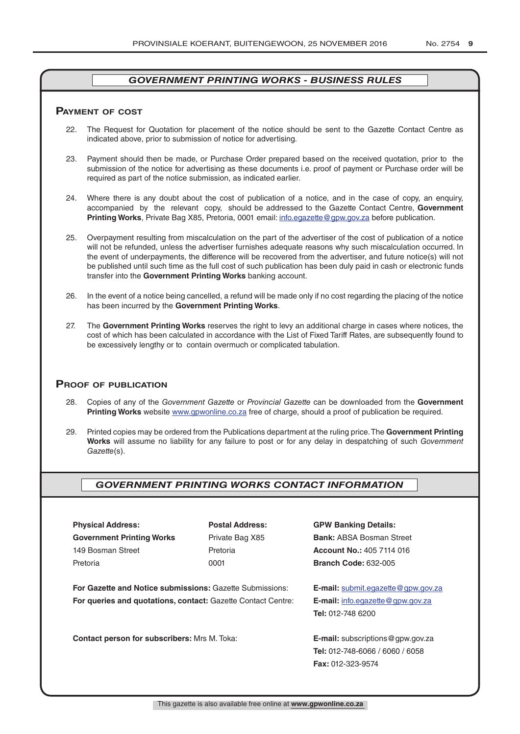### **pAymenT of CosT**

- 22. The Request for Quotation for placement of the notice should be sent to the Gazette Contact Centre as indicated above, prior to submission of notice for advertising.
- 23. Payment should then be made, or Purchase Order prepared based on the received quotation, prior to the submission of the notice for advertising as these documents i.e. proof of payment or Purchase order will be required as part of the notice submission, as indicated earlier.
- 24. Where there is any doubt about the cost of publication of a notice, and in the case of copy, an enquiry, accompanied by the relevant copy, should be addressed to the Gazette Contact Centre, **Government Printing Works**, Private Bag X85, Pretoria, 0001 email: info.egazette@gpw.gov.za before publication.
- 25. Overpayment resulting from miscalculation on the part of the advertiser of the cost of publication of a notice will not be refunded, unless the advertiser furnishes adequate reasons why such miscalculation occurred. In the event of underpayments, the difference will be recovered from the advertiser, and future notice(s) will not be published until such time as the full cost of such publication has been duly paid in cash or electronic funds transfer into the **Government Printing Works** banking account.
- 26. In the event of a notice being cancelled, a refund will be made only if no cost regarding the placing of the notice has been incurred by the **Government Printing Works**.
- 27. The **Government Printing Works** reserves the right to levy an additional charge in cases where notices, the cost of which has been calculated in accordance with the List of Fixed Tariff Rates, are subsequently found to be excessively lengthy or to contain overmuch or complicated tabulation.

### **proof of publiCATion**

- 28. Copies of any of the *Government Gazette* or *Provincial Gazette* can be downloaded from the **Government Printing Works** website www.gpwonline.co.za free of charge, should a proof of publication be required.
- 29. Printed copies may be ordered from the Publications department at the ruling price. The **Government Printing Works** will assume no liability for any failure to post or for any delay in despatching of such *Government Gazette*(s).

### *GOVERNMENT PRINTING WORKS CONTACT INFORMATION*

**Physical Address: Postal Address: GPW Banking Details: Government Printing Works** Private Bag X85 **Bank:** ABSA Bosman Street 149 Bosman Street Pretoria **Account No.:** 405 7114 016 Pretoria 0001 **Branch Code:** 632-005

**For Gazette and Notice submissions:** Gazette Submissions: **E-mail:** submit.egazette@gpw.gov.za **For queries and quotations, contact:** Gazette Contact Centre: **E-mail:** info.egazette@gpw.gov.za

**Contact person for subscribers:** Mrs M. Toka: **E-mail:** subscriptions@gpw.gov.za

**Tel:** 012-748 6200

**Tel:** 012-748-6066 / 6060 / 6058 **Fax:** 012-323-9574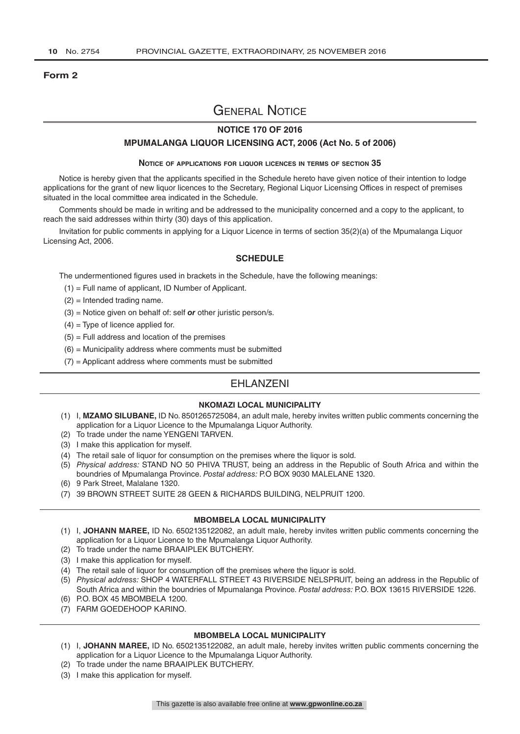### **Form 2**

## General Notice

### **NOTICE 170 OF 2016**

### **MPUMALANGA LIQUOR LICENSING ACT, 2006 (Act No. 5 of 2006)**

#### **Notice of applications for liquor licences in terms of section 35**

Notice is hereby given that the applicants specified in the Schedule hereto have given notice of their intention to lodge applications for the grant of new liquor licences to the Secretary, Regional Liquor Licensing Offices in respect of premises situated in the local committee area indicated in the Schedule.

Comments should be made in writing and be addressed to the municipality concerned and a copy to the applicant, to reach the said addresses within thirty (30) days of this application.

Invitation for public comments in applying for a Liquor Licence in terms of section 35(2)(a) of the Mpumalanga Liquor Licensing Act, 2006.

### **SCHEDULE**

The undermentioned figures used in brackets in the Schedule, have the following meanings:

- (1) = Full name of applicant, ID Number of Applicant.
- (2) = Intended trading name.
- (3) = Notice given on behalf of: self *or* other juristic person/s.
- $(4)$  = Type of licence applied for.
- $(5)$  = Full address and location of the premises
- $(6)$  = Municipality address where comments must be submitted
- $(7)$  = Applicant address where comments must be submitted

### EHLANZENI

### **NKOMAZI LOCAL MUNICIPALITY**

- (1) I, **MZAMO SILUBANE,** ID No. 8501265725084, an adult male, hereby invites written public comments concerning the application for a Liquor Licence to the Mpumalanga Liquor Authority.
- (2) To trade under the name YENGENI TARVEN.
- (3) I make this application for myself.
- (4) The retail sale of liquor for consumption on the premises where the liquor is sold.
- (5) *Physical address:* STAND NO 50 PHIVA TRUST, being an address in the Republic of South Africa and within the boundries of Mpumalanga Province. *Postal address:* P.O BOX 9030 MALELANE 1320.
- (6) 9 Park Street, Malalane 1320.
- (7) 39 BROWN STREET SUITE 28 GEEN & RICHARDS BUILDING, NELPRUIT 1200.

### **MBOMBELA LOCAL MUNICIPALITY**

- (1) I, **JOHANN MAREE,** ID No. 6502135122082, an adult male, hereby invites written public comments concerning the application for a Liquor Licence to the Mpumalanga Liquor Authority.
- (2) To trade under the name BRAAIPLEK BUTCHERY.
- (3) I make this application for myself.
- (4) The retail sale of liquor for consumption off the premises where the liquor is sold.
- (5) *Physical address:* SHOP 4 WATERFALL STREET 43 RIVERSIDE NELSPRUIT, being an address in the Republic of South Africa and within the boundries of Mpumalanga Province. *Postal address:* P.O. BOX 13615 RIVERSIDE 1226.
- (6) P.O. BOX 45 MBOMBELA 1200.
- (7) FARM GOEDEHOOP KARINO.

### **MBOMBELA LOCAL MUNICIPALITY**

- (1) I, **JOHANN MAREE,** ID No. 6502135122082, an adult male, hereby invites written public comments concerning the application for a Liquor Licence to the Mpumalanga Liquor Authority.
- (2) To trade under the name BRAAIPLEK BUTCHERY.
- (3) I make this application for myself.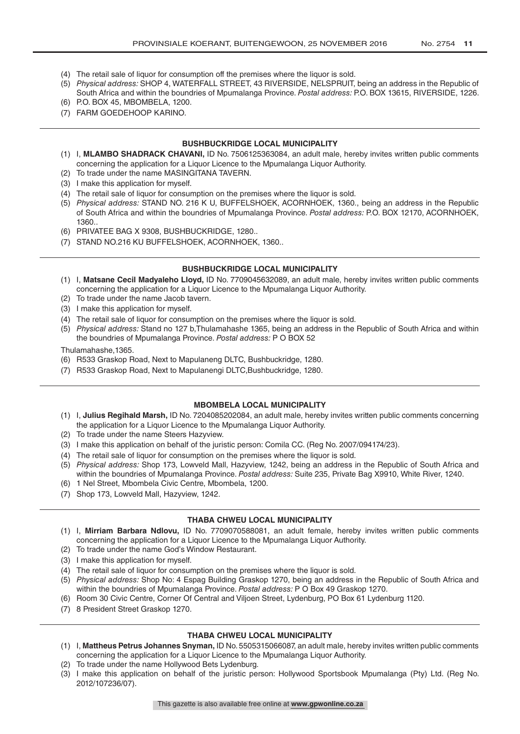- (4) The retail sale of liquor for consumption off the premises where the liquor is sold.
- (5) *Physical address:* SHOP 4, WATERFALL STREET, 43 RIVERSIDE, NELSPRUIT, being an address in the Republic of South Africa and within the boundries of Mpumalanga Province. *Postal address:* P.O. BOX 13615, RIVERSIDE, 1226.
- (6) P.O. BOX 45, MBOMBELA, 1200.
- (7) FARM GOEDEHOOP KARINO.

### **BUSHBUCKRIDGE LOCAL MUNICIPALITY**

- (1) I, **MLAMBO SHADRACK CHAVANI,** ID No. 7506125363084, an adult male, hereby invites written public comments concerning the application for a Liquor Licence to the Mpumalanga Liquor Authority.
- (2) To trade under the name MASINGITANA TAVERN.
- (3) I make this application for myself.
- (4) The retail sale of liquor for consumption on the premises where the liquor is sold.
- (5) *Physical address:* STAND NO. 216 K U, BUFFELSHOEK, ACORNHOEK, 1360., being an address in the Republic of South Africa and within the boundries of Mpumalanga Province. *Postal address:* P.O. BOX 12170, ACORNHOEK, 1360..
- (6) PRIVATEE BAG X 9308, BUSHBUCKRIDGE, 1280..
- (7) STAND NO.216 KU BUFFELSHOEK, ACORNHOEK, 1360..

### **BUSHBUCKRIDGE LOCAL MUNICIPALITY**

- (1) I, **Matsane Cecil Madyaleho Lloyd,** ID No. 7709045632089, an adult male, hereby invites written public comments concerning the application for a Liquor Licence to the Mpumalanga Liquor Authority.
- (2) To trade under the name Jacob tavern.
- (3) I make this application for myself.
- (4) The retail sale of liquor for consumption on the premises where the liquor is sold.
- (5) *Physical address:* Stand no 127 b,Thulamahashe 1365, being an address in the Republic of South Africa and within the boundries of Mpumalanga Province. *Postal address:* P O BOX 52

Thulamahashe,1365.

- (6) R533 Graskop Road, Next to Mapulaneng DLTC, Bushbuckridge, 1280.
- (7) R533 Graskop Road, Next to Mapulanengi DLTC,Bushbuckridge, 1280.

### **MBOMBELA LOCAL MUNICIPALITY**

- (1) I, **Julius Regihald Marsh,** ID No. 7204085202084, an adult male, hereby invites written public comments concerning the application for a Liquor Licence to the Mpumalanga Liquor Authority.
- (2) To trade under the name Steers Hazyview.
- (3) I make this application on behalf of the juristic person: Comila CC. (Reg No. 2007/094174/23).
- (4) The retail sale of liquor for consumption on the premises where the liquor is sold.
- (5) *Physical address:* Shop 173, Lowveld Mall, Hazyview, 1242, being an address in the Republic of South Africa and within the boundries of Mpumalanga Province. *Postal address:* Suite 235, Private Bag X9910, White River, 1240.
- (6) 1 Nel Street, Mbombela Civic Centre, Mbombela, 1200.
- (7) Shop 173, Lowveld Mall, Hazyview, 1242.

### **THABA CHWEU LOCAL MUNICIPALITY**

- (1) I, **Mirriam Barbara Ndlovu,** ID No. 7709070588081, an adult female, hereby invites written public comments concerning the application for a Liquor Licence to the Mpumalanga Liquor Authority.
- (2) To trade under the name God's Window Restaurant.
- (3) I make this application for myself.
- (4) The retail sale of liquor for consumption on the premises where the liquor is sold.
- (5) *Physical address:* Shop No: 4 Espag Building Graskop 1270, being an address in the Republic of South Africa and within the boundries of Mpumalanga Province. *Postal address:* P O Box 49 Graskop 1270.
- (6) Room 30 Civic Centre, Corner Of Central and Viljoen Street, Lydenburg, PO Box 61 Lydenburg 1120.
- (7) 8 President Street Graskop 1270.

### **THABA CHWEU LOCAL MUNICIPALITY**

- (1) I, **Mattheus Petrus Johannes Snyman,** ID No. 5505315066087, an adult male, hereby invites written public comments concerning the application for a Liquor Licence to the Mpumalanga Liquor Authority.
- (2) To trade under the name Hollywood Bets Lydenburg.
- (3) I make this application on behalf of the juristic person: Hollywood Sportsbook Mpumalanga (Pty) Ltd. (Reg No. 2012/107236/07).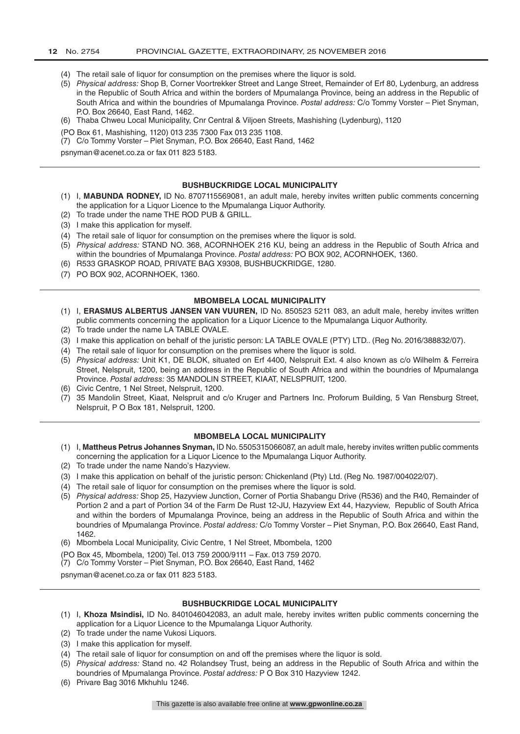- (4) The retail sale of liquor for consumption on the premises where the liquor is sold.
- (5) *Physical address:* Shop B, Corner Voortrekker Street and Lange Street, Remainder of Erf 80, Lydenburg, an address in the Republic of South Africa and within the borders of Mpumalanga Province, being an address in the Republic of South Africa and within the boundries of Mpumalanga Province. *Postal address:* C/o Tommy Vorster – Piet Snyman, P.O. Box 26640, East Rand, 1462.
- (6) Thaba Chweu Local Municipality, Cnr Central & Viljoen Streets, Mashishing (Lydenburg), 1120
- (PO Box 61, Mashishing, 1120) 013 235 7300 Fax 013 235 1108.
- (7) C/o Tommy Vorster Piet Snyman, P.O. Box 26640, East Rand, 1462

psnyman@acenet.co.za or fax 011 823 5183.

#### **BUSHBUCKRIDGE LOCAL MUNICIPALITY**

- (1) I, **MABUNDA RODNEY,** ID No. 8707115569081, an adult male, hereby invites written public comments concerning the application for a Liquor Licence to the Mpumalanga Liquor Authority.
- (2) To trade under the name THE ROD PUB & GRILL.
- (3) I make this application for myself.
- (4) The retail sale of liquor for consumption on the premises where the liquor is sold.
- (5) *Physical address:* STAND NO. 368, ACORNHOEK 216 KU, being an address in the Republic of South Africa and within the boundries of Mpumalanga Province. *Postal address:* PO BOX 902, ACORNHOEK, 1360.
- (6) R533 GRASKOP ROAD, PRIVATE BAG X9308, BUSHBUCKRIDGE, 1280.
- (7) PO BOX 902, ACORNHOEK, 1360.

#### **MBOMBELA LOCAL MUNICIPALITY**

- (1) I, **ERASMUS ALBERTUS JANSEN VAN VUUREN,** ID No. 850523 5211 083, an adult male, hereby invites written public comments concerning the application for a Liquor Licence to the Mpumalanga Liquor Authority.
- (2) To trade under the name LA TABLE OVALE.
- (3) I make this application on behalf of the juristic person: LA TABLE OVALE (PTY) LTD.. (Reg No. 2016/388832/07).
- (4) The retail sale of liquor for consumption on the premises where the liquor is sold.
- (5) *Physical address:* Unit K1, DE BLOK, situated on Erf 4400, Nelspruit Ext. 4 also known as c/o Wilhelm & Ferreira Street, Nelspruit, 1200, being an address in the Republic of South Africa and within the boundries of Mpumalanga Province. *Postal address:* 35 MANDOLIN STREET, KIAAT, NELSPRUIT, 1200.
- (6) Civic Centre, 1 Nel Street, Nelspruit, 1200.
- (7) 35 Mandolin Street, Kiaat, Nelspruit and c/o Kruger and Partners Inc. Proforum Building, 5 Van Rensburg Street, Nelspruit, P O Box 181, Nelspruit, 1200.

#### **MBOMBELA LOCAL MUNICIPALITY**

- (1) I, **Mattheus Petrus Johannes Snyman,** ID No. 5505315066087, an adult male, hereby invites written public comments concerning the application for a Liquor Licence to the Mpumalanga Liquor Authority.
- (2) To trade under the name Nando's Hazyview.
- (3) I make this application on behalf of the juristic person: Chickenland (Pty) Ltd. (Reg No. 1987/004022/07).
- (4) The retail sale of liquor for consumption on the premises where the liquor is sold.
- (5) *Physical address:* Shop 25, Hazyview Junction, Corner of Portia Shabangu Drive (R536) and the R40, Remainder of Portion 2 and a part of Portion 34 of the Farm De Rust 12-JU, Hazyview Ext 44, Hazyview, Republic of South Africa and within the borders of Mpumalanga Province, being an address in the Republic of South Africa and within the boundries of Mpumalanga Province. *Postal address:* C/o Tommy Vorster – Piet Snyman, P.O. Box 26640, East Rand, 1462.
- (6) Mbombela Local Municipality, Civic Centre, 1 Nel Street, Mbombela, 1200
- (PO Box 45, Mbombela, 1200) Tel. 013 759 2000/9111 Fax. 013 759 2070.
- (7) C/o Tommy Vorster Piet Snyman, P.O. Box 26640, East Rand, 1462

psnyman@acenet.co.za or fax 011 823 5183.

#### **BUSHBUCKRIDGE LOCAL MUNICIPALITY**

- (1) I, **Khoza Msindisi,** ID No. 8401046042083, an adult male, hereby invites written public comments concerning the application for a Liquor Licence to the Mpumalanga Liquor Authority.
- (2) To trade under the name Vukosi Liquors.
- (3) I make this application for myself.
- (4) The retail sale of liquor for consumption on and off the premises where the liquor is sold.
- (5) *Physical address:* Stand no. 42 Rolandsey Trust, being an address in the Republic of South Africa and within the boundries of Mpumalanga Province. *Postal address:* P O Box 310 Hazyview 1242.
- (6) Privare Bag 3016 Mkhuhlu 1246.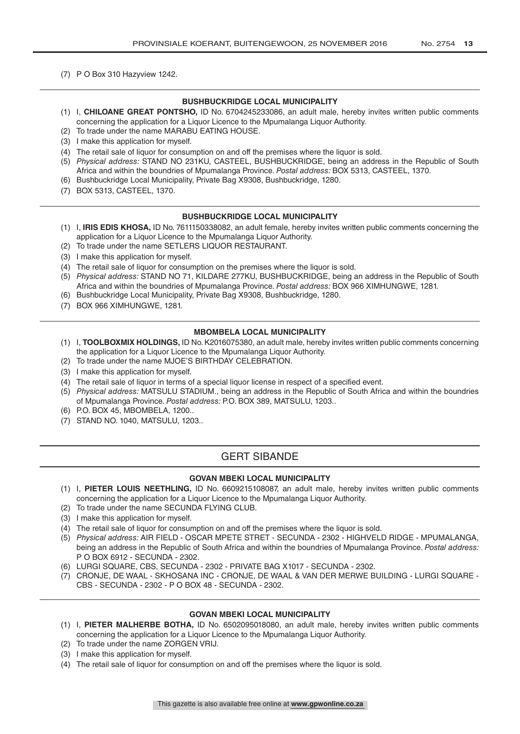(7) P O Box 310 Hazyview 1242.

### **BUSHBUCKRIDGE LOCAL MUNICIPALITY**

- (1) I, **CHILOANE GREAT PONTSHO,** ID No. 6704245233086, an adult male, hereby invites written public comments concerning the application for a Liquor Licence to the Mpumalanga Liquor Authority.
- (2) To trade under the name MARABU EATING HOUSE.
- (3) I make this application for myself.
- (4) The retail sale of liquor for consumption on and off the premises where the liquor is sold.
- (5) *Physical address:* STAND NO 231KU, CASTEEL, BUSHBUCKRIDGE, being an address in the Republic of South Africa and within the boundries of Mpumalanga Province. *Postal address:* BOX 5313, CASTEEL, 1370.
- (6) Bushbuckridge Local Municipality, Private Bag X9308, Bushbuckridge, 1280.
- (7) BOX 5313, CASTEEL, 1370.

### **BUSHBUCKRIDGE LOCAL MUNICIPALITY**

- (1) I, **IRIS EDIS KHOSA,** ID No. 7611150338082, an adult female, hereby invites written public comments concerning the application for a Liquor Licence to the Mpumalanga Liquor Authority.
- (2) To trade under the name SETLERS LIQUOR RESTAURANT.
- (3) I make this application for myself.
- (4) The retail sale of liquor for consumption on the premises where the liquor is sold.
- (5) *Physical address:* STAND NO 71, KILDARE 277KU, BUSHBUCKRIDGE, being an address in the Republic of South Africa and within the boundries of Mpumalanga Province. *Postal address:* BOX 966 XIMHUNGWE, 1281.
- (6) Bushbuckridge Local Municipality, Private Bag X9308, Bushbuckridge, 1280.
- (7) BOX 966 XIMHUNGWE, 1281.

### **MBOMBELA LOCAL MUNICIPALITY**

- (1) I, **TOOLBOXMIX HOLDINGS,** ID No. K2016075380, an adult male, hereby invites written public comments concerning the application for a Liquor Licence to the Mpumalanga Liquor Authority.
- (2) To trade under the name MJOE'S BIRTHDAY CELEBRATION.
- (3) I make this application for myself.
- (4) The retail sale of liquor in terms of a special liquor license in respect of a specified event.
- (5) *Physical address:* MATSULU STADIUM., being an address in the Republic of South Africa and within the boundries of Mpumalanga Province. *Postal address:* P.O. BOX 389, MATSULU, 1203..
- (6) P.O. BOX 45, MBOMBELA, 1200..
- (7) STAND NO. 1040, MATSULU, 1203..

### **GERT SIBANDF**

### **GOVAN MBEKI LOCAL MUNICIPALITY**

- (1) I, **PIETER LOUIS NEETHLING,** ID No. 6609215108087, an adult male, hereby invites written public comments concerning the application for a Liquor Licence to the Mpumalanga Liquor Authority.
- (2) To trade under the name SECUNDA FLYING CLUB.
- (3) I make this application for myself.
- (4) The retail sale of liquor for consumption on and off the premises where the liquor is sold.
- (5) *Physical address:* AIR FIELD OSCAR MPETE STRET SECUNDA 2302 HIGHVELD RIDGE MPUMALANGA, being an address in the Republic of South Africa and within the boundries of Mpumalanga Province. *Postal address:*  P O BOX 6912 - SECUNDA - 2302.
- (6) LURGI SQUARE, CBS, SECUNDA 2302 PRIVATE BAG X1017 SECUNDA 2302.
- (7) CRONJE, DE WAAL SKHOSANA INC CRONJE, DE WAAL & VAN DER MERWE BUILDING LURGI SQUARE CBS - SECUNDA - 2302 - P O BOX 48 - SECUNDA - 2302.

### **GOVAN MBEKI LOCAL MUNICIPALITY**

- (1) I, **PIETER MALHERBE BOTHA,** ID No. 6502095018080, an adult male, hereby invites written public comments concerning the application for a Liquor Licence to the Mpumalanga Liquor Authority.
- (2) To trade under the name ZORGEN VRIJ.
- (3) I make this application for myself.
- (4) The retail sale of liquor for consumption on and off the premises where the liquor is sold.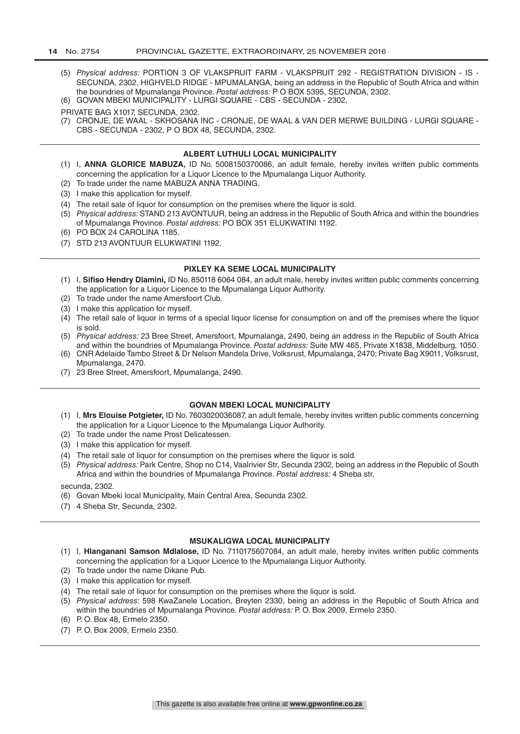- (5) *Physical address:* PORTION 3 OF VLAKSPRUIT FARM VLAKSPRUIT 292 REGISTRATION DIVISION IS SECUNDA, 2302, HIGHVELD RIDGE - MPUMALANGA, being an address in the Republic of South Africa and within the boundries of Mpumalanga Province. *Postal address:* P O BOX 5395, SECUNDA, 2302.
- (6) GOVAN MBEKI MUNICIPALITY LURGI SQUARE CBS SECUNDA 2302,

PRIVATE BAG X1017, SECUNDA, 2302.

(7) CRONJE, DE WAAL - SKHOSANA INC - CRONJE, DE WAAL & VAN DER MERWE BUILDING - LURGI SQUARE - CBS - SECUNDA - 2302, P O BOX 48, SECUNDA, 2302.

#### **ALBERT LUTHULI LOCAL MUNICIPALITY**

- (1) I, **ANNA GLORICE MABUZA,** ID No. 5008150370086, an adult female, hereby invites written public comments concerning the application for a Liquor Licence to the Mpumalanga Liquor Authority.
- (2) To trade under the name MABUZA ANNA TRADING.
- (3) I make this application for myself.
- (4) The retail sale of liquor for consumption on the premises where the liquor is sold.
- (5) *Physical address:* STAND 213 AVONTUUR, being an address in the Republic of South Africa and within the boundries of Mpumalanga Province. *Postal address:* PO BOX 351 ELUKWATINI 1192.
- (6) PO BOX 24 CAROLINA 1185.
- (7) STD 213 AVONTUUR ELUKWATINI 1192.

#### **PIXLEY KA SEME LOCAL MUNICIPALITY**

- (1) I, **Sifiso Hendry Dlamini,** ID No. 850118 6064 084, an adult male, hereby invites written public comments concerning the application for a Liquor Licence to the Mpumalanga Liquor Authority.
- (2) To trade under the name Amersfoort Club.
- (3) I make this application for myself.
- (4) The retail sale of liquor in terms of a special liquor license for consumption on and off the premises where the liquor is sold.
- (5) *Physical address:* 23 Bree Street, Amersfoort, Mpumalanga, 2490, being an address in the Republic of South Africa and within the boundries of Mpumalanga Province. *Postal address:* Suite MW 465, Private X1838, Middelburg, 1050.
- (6) CNR Adelaide Tambo Street & Dr Nelson Mandela Drive, Volksrust, Mpumalanga, 2470; Private Bag X9011, Volksrust, Mpumalanga, 2470.
- (7) 23 Bree Street, Amersfoort, Mpumalanga, 2490.

### **GOVAN MBEKI LOCAL MUNICIPALITY**

- (1) I, **Mrs Elouise Potgieter,** ID No. 7603020036087, an adult female, hereby invites written public comments concerning the application for a Liquor Licence to the Mpumalanga Liquor Authority.
- (2) To trade under the name Prost Delicatessen.
- (3) I make this application for myself.
- (4) The retail sale of liquor for consumption on the premises where the liquor is sold.
- (5) *Physical address:* Park Centre, Shop no C14, Vaalrivier Str, Secunda 2302, being an address in the Republic of South Africa and within the boundries of Mpumalanga Province. *Postal address:* 4 Sheba str,

secunda, 2302.

- (6) Govan Mbeki local Municipality, Main Central Area, Secunda 2302.
- (7) 4 Sheba Str, Secunda, 2302.

### **MSUKALIGWA LOCAL MUNICIPALITY**

- (1) I, **Hlanganani Samson Mdlalose,** ID No. 7110175607084, an adult male, hereby invites written public comments concerning the application for a Liquor Licence to the Mpumalanga Liquor Authority.
- (2) To trade under the name Dikane Pub.
- (3) I make this application for myself.
- (4) The retail sale of liquor for consumption on the premises where the liquor is sold.
- (5) *Physical address:* 598 KwaZanele Location, Breyten 2330, being an address in the Republic of South Africa and within the boundries of Mpumalanga Province. *Postal address:* P. O. Box 2009, Ermelo 2350.
- (6) P. O. Box 48, Ermelo 2350.
- (7) P. O. Box 2009, Ermelo 2350.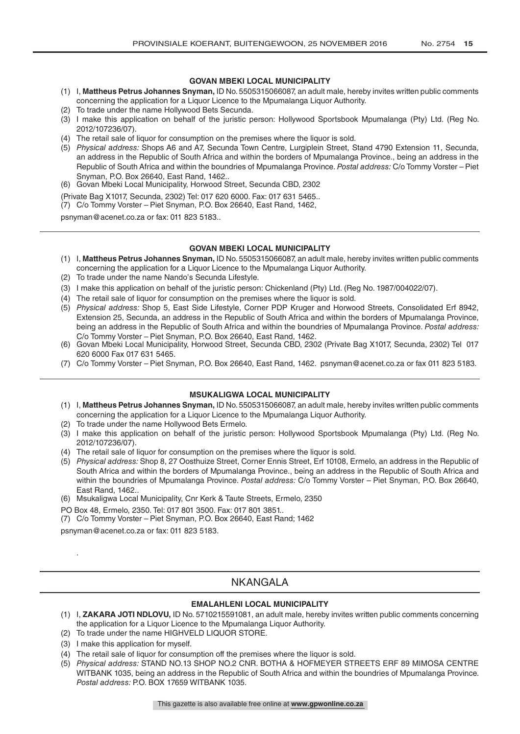### **GOVAN MBEKI LOCAL MUNICIPALITY**

- (1) I, **Mattheus Petrus Johannes Snyman,** ID No. 5505315066087, an adult male, hereby invites written public comments concerning the application for a Liquor Licence to the Mpumalanga Liquor Authority.
- (2) To trade under the name Hollywood Bets Secunda.
- (3) I make this application on behalf of the juristic person: Hollywood Sportsbook Mpumalanga (Pty) Ltd. (Reg No. 2012/107236/07).
- (4) The retail sale of liquor for consumption on the premises where the liquor is sold.
- (5) *Physical address:* Shops A6 and A7, Secunda Town Centre, Lurgiplein Street, Stand 4790 Extension 11, Secunda, an address in the Republic of South Africa and within the borders of Mpumalanga Province., being an address in the Republic of South Africa and within the boundries of Mpumalanga Province. *Postal address:* C/o Tommy Vorster – Piet Snyman, P.O. Box 26640, East Rand, 1462..
- (6) Govan Mbeki Local Municipality, Horwood Street, Secunda CBD, 2302
- (Private Bag X1017, Secunda, 2302) Tel: 017 620 6000. Fax: 017 631 5465..
- (7) C/o Tommy Vorster Piet Snyman, P.O. Box 26640, East Rand, 1462,

psnyman@acenet.co.za or fax: 011 823 5183..

### **GOVAN MBEKI LOCAL MUNICIPALITY**

- (1) I, **Mattheus Petrus Johannes Snyman,** ID No. 5505315066087, an adult male, hereby invites written public comments concerning the application for a Liquor Licence to the Mpumalanga Liquor Authority.
- (2) To trade under the name Nando's Secunda Lifestyle.
- (3) I make this application on behalf of the juristic person: Chickenland (Pty) Ltd. (Reg No. 1987/004022/07).
- (4) The retail sale of liquor for consumption on the premises where the liquor is sold.
- (5) *Physical address:* Shop 5, East Side Lifestyle, Corner PDP Kruger and Horwood Streets, Consolidated Erf 8942, Extension 25, Secunda, an address in the Republic of South Africa and within the borders of Mpumalanga Province, being an address in the Republic of South Africa and within the boundries of Mpumalanga Province. *Postal address:*  C/o Tommy Vorster – Piet Snyman, P.O. Box 26640, East Rand, 1462.
- (6) Govan Mbeki Local Municipality, Horwood Street, Secunda CBD, 2302 (Private Bag X1017, Secunda, 2302) Tel 017 620 6000 Fax 017 631 5465.
- (7) C/o Tommy Vorster Piet Snyman, P.O. Box 26640, East Rand, 1462. psnyman@acenet.co.za or fax 011 823 5183.

### **MSUKALIGWA LOCAL MUNICIPALITY**

- (1) I, **Mattheus Petrus Johannes Snyman,** ID No. 5505315066087, an adult male, hereby invites written public comments concerning the application for a Liquor Licence to the Mpumalanga Liquor Authority.
- (2) To trade under the name Hollywood Bets Ermelo.
- (3) I make this application on behalf of the juristic person: Hollywood Sportsbook Mpumalanga (Pty) Ltd. (Reg No. 2012/107236/07).
- (4) The retail sale of liquor for consumption on the premises where the liquor is sold.
- (5) *Physical address:* Shop 8, 27 Oosthuize Street, Corner Ennis Street, Erf 10108, Ermelo, an address in the Republic of South Africa and within the borders of Mpumalanga Province., being an address in the Republic of South Africa and within the boundries of Mpumalanga Province. *Postal address:* C/o Tommy Vorster – Piet Snyman, P.O. Box 26640, East Rand, 1462..
- (6) Msukaligwa Local Municipality, Cnr Kerk & Taute Streets, Ermelo, 2350
- PO Box 48, Ermelo, 2350. Tel: 017 801 3500. Fax: 017 801 3851..
- (7) C/o Tommy Vorster Piet Snyman, P.O. Box 26640, East Rand; 1462

psnyman@acenet.co.za or fax: 011 823 5183.

.

### NKANGALA

### **EMALAHLENI LOCAL MUNICIPALITY**

- (1) I, **ZAKARA JOTI NDLOVU,** ID No. 5710215591081, an adult male, hereby invites written public comments concerning the application for a Liquor Licence to the Mpumalanga Liquor Authority.
- (2) To trade under the name HIGHVELD LIQUOR STORE.
- (3) I make this application for myself.
- (4) The retail sale of liquor for consumption off the premises where the liquor is sold.
- (5) *Physical address:* STAND NO.13 SHOP NO.2 CNR. BOTHA & HOFMEYER STREETS ERF 89 MIMOSA CENTRE WITBANK 1035, being an address in the Republic of South Africa and within the boundries of Mpumalanga Province. *Postal address:* P.O. BOX 17659 WITBANK 1035.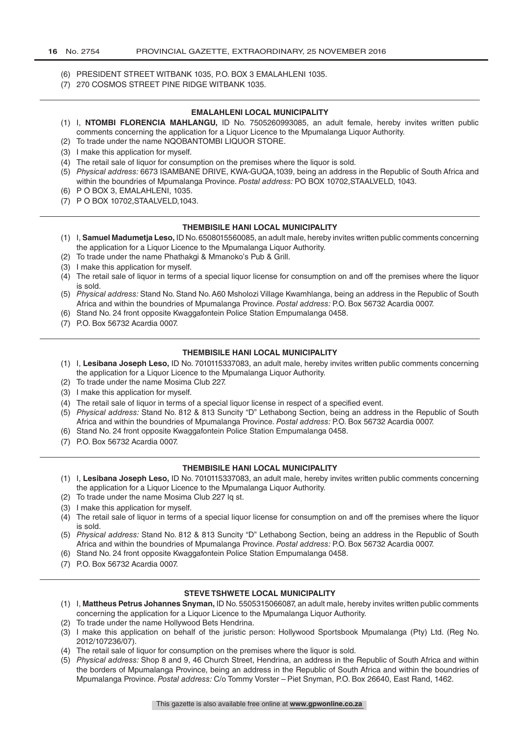- (6) PRESIDENT STREET WITBANK 1035, P.O. BOX 3 EMALAHLENI 1035.
- (7) 270 COSMOS STREET PINE RIDGE WITBANK 1035.

### **EMALAHLENI LOCAL MUNICIPALITY**

- (1) I, **NTOMBI FLORENCIA MAHLANGU,** ID No. 7505260993085, an adult female, hereby invites written public comments concerning the application for a Liquor Licence to the Mpumalanga Liquor Authority.
- (2) To trade under the name NQOBANTOMBI LIQUOR STORE.
- (3) I make this application for myself.
- (4) The retail sale of liquor for consumption on the premises where the liquor is sold.
- (5) *Physical address:* 6673 ISAMBANE DRIVE, KWA-GUQA,1039, being an address in the Republic of South Africa and within the boundries of Mpumalanga Province. *Postal address:* PO BOX 10702,STAALVELD, 1043.
- (6) P O BOX 3, EMALAHLENI, 1035.
- (7) P O BOX 10702,STAALVELD,1043.

### **THEMBISILE HANI LOCAL MUNICIPALITY**

- (1) I, **Samuel Madumetja Leso,** ID No. 6508015560085, an adult male, hereby invites written public comments concerning the application for a Liquor Licence to the Mpumalanga Liquor Authority.
- (2) To trade under the name Phathakgi & Mmanoko's Pub & Grill.
- (3) I make this application for myself.
- (4) The retail sale of liquor in terms of a special liquor license for consumption on and off the premises where the liquor is sold.
- (5) *Physical address:* Stand No. Stand No. A60 Msholozi Village Kwamhlanga, being an address in the Republic of South Africa and within the boundries of Mpumalanga Province. *Postal address:* P.O. Box 56732 Acardia 0007.
- (6) Stand No. 24 front opposite Kwaggafontein Police Station Empumalanga 0458.
- (7) P.O. Box 56732 Acardia 0007.

### **THEMBISILE HANI LOCAL MUNICIPALITY**

- (1) I, **Lesibana Joseph Leso,** ID No. 7010115337083, an adult male, hereby invites written public comments concerning the application for a Liquor Licence to the Mpumalanga Liquor Authority.
- (2) To trade under the name Mosima Club 227.
- (3) I make this application for myself.
- (4) The retail sale of liquor in terms of a special liquor license in respect of a specified event.
- (5) *Physical address:* Stand No. 812 & 813 Suncity "D" Lethabong Section, being an address in the Republic of South Africa and within the boundries of Mpumalanga Province. *Postal address:* P.O. Box 56732 Acardia 0007.
- (6) Stand No. 24 front opposite Kwaggafontein Police Station Empumalanga 0458.
- (7) P.O. Box 56732 Acardia 0007.

### **THEMBISILE HANI LOCAL MUNICIPALITY**

- (1) I, **Lesibana Joseph Leso,** ID No. 7010115337083, an adult male, hereby invites written public comments concerning the application for a Liquor Licence to the Mpumalanga Liquor Authority.
- (2) To trade under the name Mosima Club 227 lq st.
- (3) I make this application for myself.
- (4) The retail sale of liquor in terms of a special liquor license for consumption on and off the premises where the liquor is sold.
- (5) *Physical address:* Stand No. 812 & 813 Suncity "D" Lethabong Section, being an address in the Republic of South Africa and within the boundries of Mpumalanga Province. *Postal address:* P.O. Box 56732 Acardia 0007.
- (6) Stand No. 24 front opposite Kwaggafontein Police Station Empumalanga 0458.
- (7) P.O. Box 56732 Acardia 0007.

### **STEVE TSHWETE LOCAL MUNICIPALITY**

- (1) I, **Mattheus Petrus Johannes Snyman,** ID No. 5505315066087, an adult male, hereby invites written public comments concerning the application for a Liquor Licence to the Mpumalanga Liquor Authority.
- (2) To trade under the name Hollywood Bets Hendrina.
- (3) I make this application on behalf of the juristic person: Hollywood Sportsbook Mpumalanga (Pty) Ltd. (Reg No. 2012/107236/07).
- (4) The retail sale of liquor for consumption on the premises where the liquor is sold.
- (5) *Physical address:* Shop 8 and 9, 46 Church Street, Hendrina, an address in the Republic of South Africa and within the borders of Mpumalanga Province, being an address in the Republic of South Africa and within the boundries of Mpumalanga Province. *Postal address:* C/o Tommy Vorster – Piet Snyman, P.O. Box 26640, East Rand, 1462.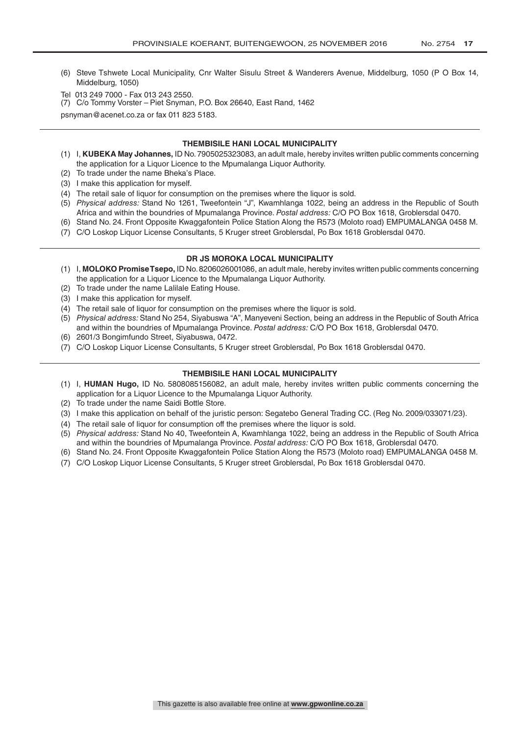- (6) Steve Tshwete Local Municipality, Cnr Walter Sisulu Street & Wanderers Avenue, Middelburg, 1050 (P O Box 14, Middelburg, 1050)
- Tel 013 249 7000 Fax 013 243 2550.
- (7) C/o Tommy Vorster Piet Snyman, P.O. Box 26640, East Rand, 1462

psnyman@acenet.co.za or fax 011 823 5183.

### **THEMBISILE HANI LOCAL MUNICIPALITY**

- (1) I, **KUBEKA May Johannes,** ID No. 7905025323083, an adult male, hereby invites written public comments concerning the application for a Liquor Licence to the Mpumalanga Liquor Authority.
- (2) To trade under the name Bheka's Place.
- (3) I make this application for myself.
- (4) The retail sale of liquor for consumption on the premises where the liquor is sold.
- (5) *Physical address:* Stand No 1261, Tweefontein "J", Kwamhlanga 1022, being an address in the Republic of South Africa and within the boundries of Mpumalanga Province. *Postal address:* C/O PO Box 1618, Groblersdal 0470.
- (6) Stand No. 24. Front Opposite Kwaggafontein Police Station Along the R573 (Moloto road) EMPUMALANGA 0458 M.
- (7) C/O Loskop Liquor License Consultants, 5 Kruger street Groblersdal, Po Box 1618 Groblersdal 0470.

### **DR JS MOROKA LOCAL MUNICIPALITY**

- (1) I, **MOLOKO Promise Tsepo,** ID No. 8206026001086, an adult male, hereby invites written public comments concerning the application for a Liquor Licence to the Mpumalanga Liquor Authority.
- (2) To trade under the name Lalilale Eating House.
- (3) I make this application for myself.
- (4) The retail sale of liquor for consumption on the premises where the liquor is sold.
- (5) *Physical address:* Stand No 254, Siyabuswa "A", Manyeveni Section, being an address in the Republic of South Africa and within the boundries of Mpumalanga Province. *Postal address:* C/O PO Box 1618, Groblersdal 0470.
- (6) 2601/3 Bongimfundo Street, Siyabuswa, 0472.
- (7) C/O Loskop Liquor License Consultants, 5 Kruger street Groblersdal, Po Box 1618 Groblersdal 0470.

### **THEMBISILE HANI LOCAL MUNICIPALITY**

- (1) I, **HUMAN Hugo,** ID No. 5808085156082, an adult male, hereby invites written public comments concerning the application for a Liquor Licence to the Mpumalanga Liquor Authority.
- (2) To trade under the name Saidi Bottle Store.
- (3) I make this application on behalf of the juristic person: Segatebo General Trading CC. (Reg No. 2009/033071/23).
- (4) The retail sale of liquor for consumption off the premises where the liquor is sold.
- (5) *Physical address:* Stand No 40, Tweefontein A, Kwamhlanga 1022, being an address in the Republic of South Africa and within the boundries of Mpumalanga Province. *Postal address:* C/O PO Box 1618, Groblersdal 0470.
- (6) Stand No. 24. Front Opposite Kwaggafontein Police Station Along the R573 (Moloto road) EMPUMALANGA 0458 M.
- (7) C/O Loskop Liquor License Consultants, 5 Kruger street Groblersdal, Po Box 1618 Groblersdal 0470.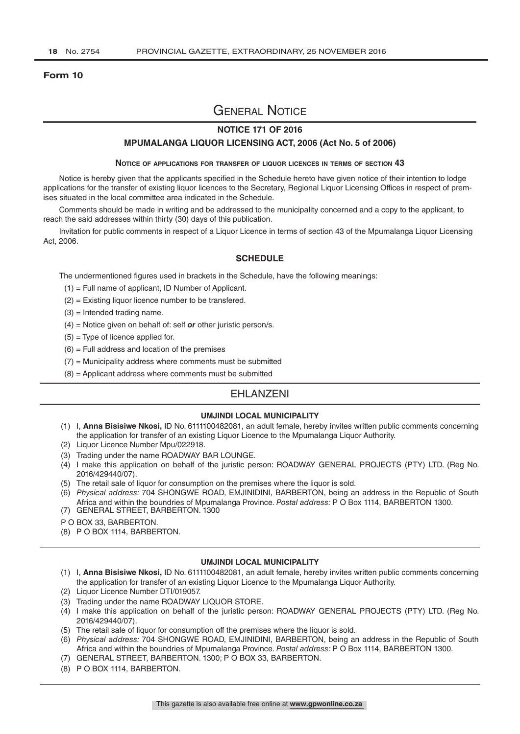### **Form 10**

## General Notice

### **NOTICE 171 OF 2016**

### **MPUMALANGA LIQUOR LICENSING ACT, 2006 (Act No. 5 of 2006)**

#### **Notice of applications for transfer of liquor licences in terms of section 43**

Notice is hereby given that the applicants specified in the Schedule hereto have given notice of their intention to lodge applications for the transfer of existing liquor licences to the Secretary, Regional Liquor Licensing Offices in respect of premises situated in the local committee area indicated in the Schedule.

Comments should be made in writing and be addressed to the municipality concerned and a copy to the applicant, to reach the said addresses within thirty (30) days of this publication.

Invitation for public comments in respect of a Liquor Licence in terms of section 43 of the Mpumalanga Liquor Licensing Act, 2006.

### **SCHEDULE**

The undermentioned figures used in brackets in the Schedule, have the following meanings:

- (1) = Full name of applicant, ID Number of Applicant.
- (2) = Existing liquor licence number to be transfered.
- $(3)$  = Intended trading name.
- (4) = Notice given on behalf of: self *or* other juristic person/s.
- $(5)$  = Type of licence applied for.
- $(6)$  = Full address and location of the premises
- $(7)$  = Municipality address where comments must be submitted
- (8) = Applicant address where comments must be submitted

### EHLANZENI

### **UMJINDI LOCAL MUNICIPALITY**

- (1) I, **Anna Bisisiwe Nkosi,** ID No. 6111100482081, an adult female, hereby invites written public comments concerning the application for transfer of an existing Liquor Licence to the Mpumalanga Liquor Authority.
- (2) Liquor Licence Number Mpu/022918.
- (3) Trading under the name ROADWAY BAR LOUNGE.
- (4) I make this application on behalf of the juristic person: ROADWAY GENERAL PROJECTS (PTY) LTD. (Reg No. 2016/429440/07).
- (5) The retail sale of liquor for consumption on the premises where the liquor is sold.
- (6) *Physical address:* 704 SHONGWE ROAD, EMJINIDINI, BARBERTON, being an address in the Republic of South Africa and within the boundries of Mpumalanga Province. *Postal address:* P O Box 1114, BARBERTON 1300.
- (7) GENERAL STREET, BARBERTON. 1300
- P O BOX 33, BARBERTON.
- (8) P O BOX 1114, BARBERTON.

### **UMJINDI LOCAL MUNICIPALITY**

- (1) I, **Anna Bisisiwe Nkosi,** ID No. 6111100482081, an adult female, hereby invites written public comments concerning the application for transfer of an existing Liquor Licence to the Mpumalanga Liquor Authority.
- (2) Liquor Licence Number DTI/019057.
- (3) Trading under the name ROADWAY LIQUOR STORE.
- (4) I make this application on behalf of the juristic person: ROADWAY GENERAL PROJECTS (PTY) LTD. (Reg No. 2016/429440/07).
- (5) The retail sale of liquor for consumption off the premises where the liquor is sold.
- (6) *Physical address:* 704 SHONGWE ROAD, EMJINIDINI, BARBERTON, being an address in the Republic of South Africa and within the boundries of Mpumalanga Province. *Postal address:* P O Box 1114, BARBERTON 1300.
- (7) GENERAL STREET, BARBERTON. 1300; P O BOX 33, BARBERTON.
- (8) P O BOX 1114, BARBERTON.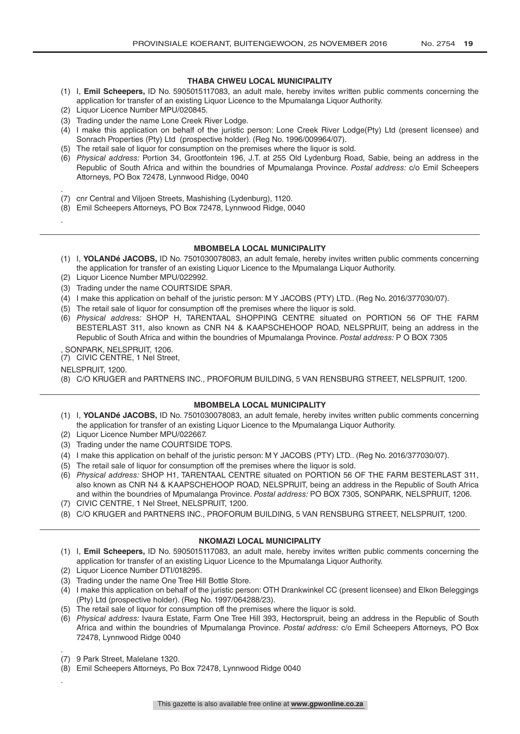### **THABA CHWEU LOCAL MUNICIPALITY**

- (1) I, **Emil Scheepers,** ID No. 5905015117083, an adult male, hereby invites written public comments concerning the application for transfer of an existing Liquor Licence to the Mpumalanga Liquor Authority.
- (2) Liquor Licence Number MPU/020845.
- (3) Trading under the name Lone Creek River Lodge.
- (4) I make this application on behalf of the juristic person: Lone Creek River Lodge(Pty) Ltd (present licensee) and Sonrach Properties (Pty) Ltd (prospective holder). (Reg No. 1996/009964/07).
- (5) The retail sale of liquor for consumption on the premises where the liquor is sold.
- (6) *Physical address:* Portion 34, Grootfontein 196, J.T. at 255 Old Lydenburg Road, Sabie, being an address in the Republic of South Africa and within the boundries of Mpumalanga Province. *Postal address:* c/o Emil Scheepers Attorneys, PO Box 72478, Lynnwood Ridge, 0040
- . (7) cnr Central and Viljoen Streets, Mashishing (Lydenburg), 1120.
- (8) Emil Scheepers Attorneys, PO Box 72478, Lynnwood Ridge, 0040

### **MBOMBELA LOCAL MUNICIPALITY**

- (1) I, **YOLANDé JACOBS,** ID No. 7501030078083, an adult female, hereby invites written public comments concerning the application for transfer of an existing Liquor Licence to the Mpumalanga Liquor Authority.
- (2) Liquor Licence Number MPU/022992.
- (3) Trading under the name COURTSIDE SPAR.
- (4) I make this application on behalf of the juristic person: M Y JACOBS (PTY) LTD.. (Reg No. 2016/377030/07).
- (5) The retail sale of liquor for consumption off the premises where the liquor is sold.
- (6) *Physical address:* SHOP H, TARENTAAL SHOPPING CENTRE situated on PORTION 56 OF THE FARM BESTERLAST 311, also known as CNR N4 & KAAPSCHEHOOP ROAD, NELSPRUIT, being an address in the Republic of South Africa and within the boundries of Mpumalanga Province. *Postal address:* P O BOX 7305
- , SONPARK, NELSPRUIT, 1206.
- (7) CIVIC CENTRE, 1 Nel Street,
- NELSPRUIT, 1200.

.

(8) C/O KRUGER and PARTNERS INC., PROFORUM BUILDING, 5 VAN RENSBURG STREET, NELSPRUIT, 1200.

### **MBOMBELA LOCAL MUNICIPALITY**

- (1) I, **YOLANDé JACOBS,** ID No. 7501030078083, an adult female, hereby invites written public comments concerning the application for transfer of an existing Liquor Licence to the Mpumalanga Liquor Authority.
- (2) Liquor Licence Number MPU/022667.
- (3) Trading under the name COURTSIDE TOPS.
- (4) I make this application on behalf of the juristic person: M Y JACOBS (PTY) LTD.. (Reg No. 2016/377030/07).
- (5) The retail sale of liquor for consumption off the premises where the liquor is sold.
- (6) *Physical address:* SHOP H1, TARENTAAL CENTRE situated on PORTION 56 OF THE FARM BESTERLAST 311, also known as CNR N4 & KAAPSCHEHOOP ROAD, NELSPRUIT, being an address in the Republic of South Africa and within the boundries of Mpumalanga Province. *Postal address:* PO BOX 7305, SONPARK, NELSPRUIT, 1206.
- (7) CIVIC CENTRE, 1 Nel Street, NELSPRUIT, 1200.
- (8) C/O KRUGER and PARTNERS INC., PROFORUM BUILDING, 5 VAN RENSBURG STREET, NELSPRUIT, 1200.

### **NKOMAZI LOCAL MUNICIPALITY**

- (1) I, **Emil Scheepers,** ID No. 5905015117083, an adult male, hereby invites written public comments concerning the application for transfer of an existing Liquor Licence to the Mpumalanga Liquor Authority.
- (2) Liquor Licence Number DTI/018295.
- (3) Trading under the name One Tree Hill Bottle Store.
- (4) I make this application on behalf of the juristic person: OTH Drankwinkel CC (present licensee) and Elkon Beleggings (Pty) Ltd (prospective holder). (Reg No. 1997/064288/23).
- (5) The retail sale of liquor for consumption off the premises where the liquor is sold.
- (6) *Physical address:* Ivaura Estate, Farm One Tree Hill 393, Hectorspruit, being an address in the Republic of South Africa and within the boundries of Mpumalanga Province. *Postal address:* c/o Emil Scheepers Attorneys, PO Box 72478, Lynnwood Ridge 0040
- (7) 9 Park Street, Malelane 1320.

.

.

(8) Emil Scheepers Attorneys, Po Box 72478, Lynnwood Ridge 0040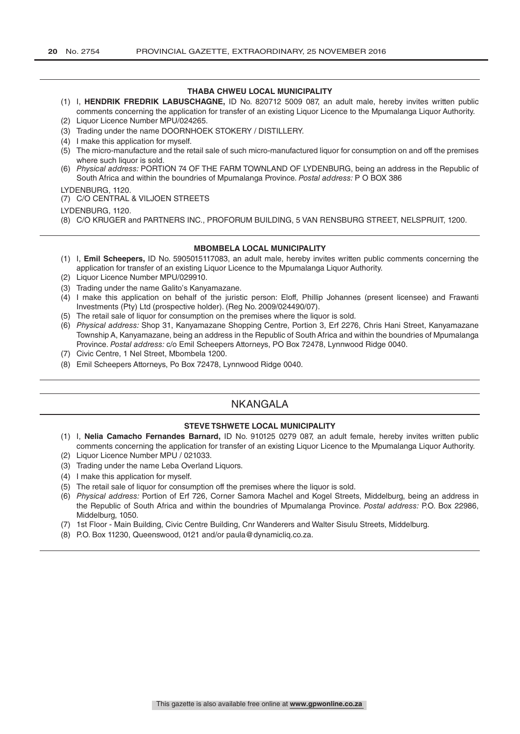### **THABA CHWEU LOCAL MUNICIPALITY**

- (1) I, **HENDRIK FREDRIK LABUSCHAGNE,** ID No. 820712 5009 087, an adult male, hereby invites written public comments concerning the application for transfer of an existing Liquor Licence to the Mpumalanga Liquor Authority.
- (2) Liquor Licence Number MPU/024265. (3) Trading under the name DOORNHOEK STOKERY / DISTILLERY.
- (4) I make this application for myself.
- (5) The micro-manufacture and the retail sale of such micro-manufactured liquor for consumption on and off the premises where such liquor is sold.
- (6) *Physical address:* PORTION 74 OF THE FARM TOWNLAND OF LYDENBURG, being an address in the Republic of South Africa and within the boundries of Mpumalanga Province. *Postal address:* P O BOX 386

### LYDENBURG, 1120.

### (7) C/O CENTRAL & VILJOEN STREETS

LYDENBURG, 1120.

(8) C/O KRUGER and PARTNERS INC., PROFORUM BUILDING, 5 VAN RENSBURG STREET, NELSPRUIT, 1200.

### **MBOMBELA LOCAL MUNICIPALITY**

- (1) I, **Emil Scheepers,** ID No. 5905015117083, an adult male, hereby invites written public comments concerning the application for transfer of an existing Liquor Licence to the Mpumalanga Liquor Authority.
- (2) Liquor Licence Number MPU/029910.
- (3) Trading under the name Galito's Kanyamazane.
- (4) I make this application on behalf of the juristic person: Eloff, Phillip Johannes (present licensee) and Frawanti Investments (Pty) Ltd (prospective holder). (Reg No. 2009/024490/07).
- (5) The retail sale of liquor for consumption on the premises where the liquor is sold.
- (6) *Physical address:* Shop 31, Kanyamazane Shopping Centre, Portion 3, Erf 2276, Chris Hani Street, Kanyamazane Township A, Kanyamazane, being an address in the Republic of South Africa and within the boundries of Mpumalanga Province. *Postal address:* c/o Emil Scheepers Attorneys, PO Box 72478, Lynnwood Ridge 0040.
- (7) Civic Centre, 1 Nel Street, Mbombela 1200.
- (8) Emil Scheepers Attorneys, Po Box 72478, Lynnwood Ridge 0040.

### NKANGALA

### **STEVE TSHWETE LOCAL MUNICIPALITY**

- (1) I, **Nelia Camacho Fernandes Barnard,** ID No. 910125 0279 087, an adult female, hereby invites written public comments concerning the application for transfer of an existing Liquor Licence to the Mpumalanga Liquor Authority. (2) Liquor Licence Number MPU / 021033.
- (3) Trading under the name Leba Overland Liquors.
- (4) I make this application for myself.
- (5) The retail sale of liquor for consumption off the premises where the liquor is sold.
- (6) *Physical address:* Portion of Erf 726, Corner Samora Machel and Kogel Streets, Middelburg, being an address in the Republic of South Africa and within the boundries of Mpumalanga Province. *Postal address:* P.O. Box 22986, Middelburg, 1050.
- (7) 1st Floor Main Building, Civic Centre Building, Cnr Wanderers and Walter Sisulu Streets, Middelburg.
- (8) P.O. Box 11230, Queenswood, 0121 and/or paula@dynamicliq.co.za.